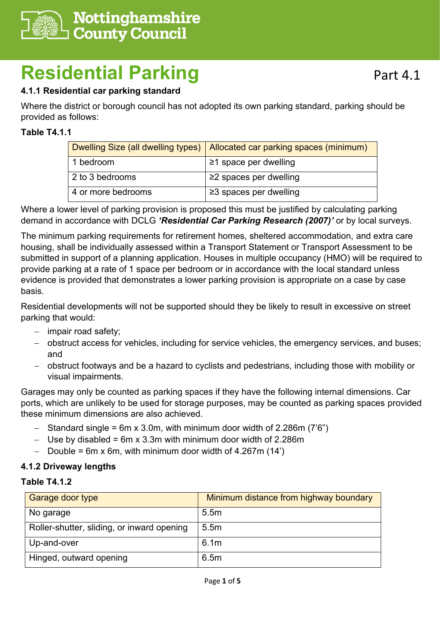

# **Residential Parking**

## **4.1.1 Residential car parking standard**

Where the district or borough council has not adopted its own parking standard, parking should be provided as follows:

## **Table T4.1.1**

|                    | Dwelling Size (all dwelling types)   Allocated car parking spaces (minimum) |
|--------------------|-----------------------------------------------------------------------------|
| 1 bedroom          | $\geq$ 1 space per dwelling                                                 |
| 2 to 3 bedrooms    | $\geq$ 2 spaces per dwelling                                                |
| 4 or more bedrooms | $\geq$ 3 spaces per dwelling                                                |

Where a lower level of parking provision is proposed this must be justified by calculating parking demand in accordance with DCLG *'Residential Car Parking Research (2007)'* or by local surveys.

The minimum parking requirements for retirement homes, sheltered accommodation, and extra care housing, shall be individually assessed within a Transport Statement or Transport Assessment to be submitted in support of a planning application. Houses in multiple occupancy (HMO) will be required to provide parking at a rate of 1 space per bedroom or in accordance with the local standard unless evidence is provided that demonstrates a lower parking provision is appropriate on a case by case basis.

Residential developments will not be supported should they be likely to result in excessive on street parking that would:

- − impair road safety;
- − obstruct access for vehicles, including for service vehicles, the emergency services, and buses; and
- − obstruct footways and be a hazard to cyclists and pedestrians, including those with mobility or visual impairments.

Garages may only be counted as parking spaces if they have the following internal dimensions. Car ports, which are unlikely to be used for storage purposes, may be counted as parking spaces provided these minimum dimensions are also achieved.

- − Standard single = 6m x 3.0m, with minimum door width of 2.286m (7'6")
- − Use by disabled = 6m x 3.3m with minimum door width of 2.286m
- − Double = 6m x 6m, with minimum door width of 4.267m (14')

#### **4.1.2 Driveway lengths**

#### **Table T4.1.2**

| Garage door type                           | Minimum distance from highway boundary |
|--------------------------------------------|----------------------------------------|
| No garage                                  | 5.5m                                   |
| Roller-shutter, sliding, or inward opening | 5.5 <sub>m</sub>                       |
| Up-and-over                                | 6.1 <sub>m</sub>                       |
| Hinged, outward opening                    | 6.5m                                   |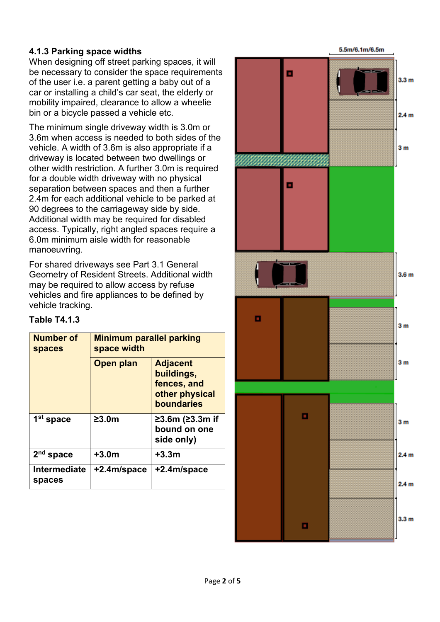## **4.1.3 Parking space widths**

When designing off street parking spaces, it will be necessary to consider the space requirements of the user i.e. a parent getting a baby out of a car or installing a child's car seat, the elderly or mobility impaired, clearance to allow a wheelie bin or a bicycle passed a vehicle etc.

The minimum single driveway width is 3.0m or 3.6m when access is needed to both sides of the vehicle. A width of 3.6m is also appropriate if a driveway is located between two dwellings or other width restriction. A further 3.0m is required for a double width driveway with no physical separation between spaces and then a further 2.4m for each additional vehicle to be parked at 90 degrees to the carriageway side by side. Additional width may be required for disabled access. Typically, right angled spaces require a 6.0m minimum aisle width for reasonable manoeuvring.

For shared driveways see Part 3.1 General Geometry of Resident Streets. Additional width may be required to allow access by refuse vehicles and fire appliances to be defined by vehicle tracking.

| <b>Number of</b><br><b>spaces</b> | <b>Minimum parallel parking</b><br>space width |                                                                                     |
|-----------------------------------|------------------------------------------------|-------------------------------------------------------------------------------------|
|                                   | Open plan                                      | <b>Adjacent</b><br>buildings,<br>fences, and<br>other physical<br><b>boundaries</b> |
| 1 <sup>st</sup> space             | 23.0m                                          | $≥3.6m$ ( $≥3.3m$ if<br>bound on one<br>side only)                                  |
| 2 <sup>nd</sup> space             | $+3.0m$                                        | $+3.3m$                                                                             |
| Intermediate<br>spaces            | +2.4m/space                                    | +2.4m/space                                                                         |

## **Table T4.1.3**

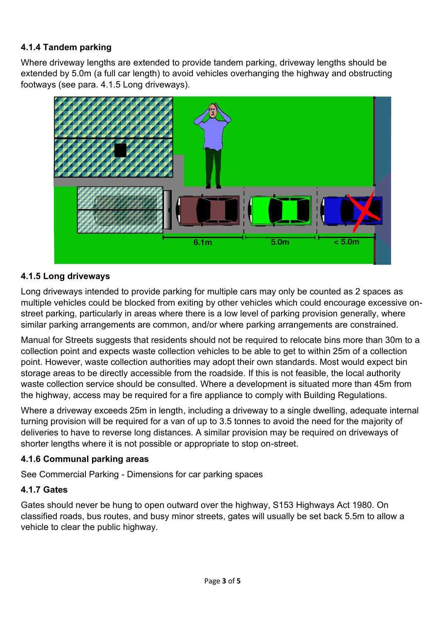## **4.1.4 Tandem parking**

Where driveway lengths are extended to provide tandem parking, driveway lengths should be extended by 5.0m (a full car length) to avoid vehicles overhanging the highway and obstructing footways (see para. 4.1.5 Long driveways).



#### **4.1.5 Long driveways**

Long driveways intended to provide parking for multiple cars may only be counted as 2 spaces as multiple vehicles could be blocked from exiting by other vehicles which could encourage excessive onstreet parking, particularly in areas where there is a low level of parking provision generally, where similar parking arrangements are common, and/or where parking arrangements are constrained.

Manual for Streets suggests that residents should not be required to relocate bins more than 30m to a collection point and expects waste collection vehicles to be able to get to within 25m of a collection point. However, waste collection authorities may adopt their own standards. Most would expect bin storage areas to be directly accessible from the roadside. If this is not feasible, the local authority waste collection service should be consulted. Where a development is situated more than 45m from the highway, access may be required for a fire appliance to comply with Building Regulations.

Where a driveway exceeds 25m in length, including a driveway to a single dwelling, adequate internal turning provision will be required for a van of up to 3.5 tonnes to avoid the need for the majority of deliveries to have to reverse long distances. A similar provision may be required on driveways of shorter lengths where it is not possible or appropriate to stop on-street.

#### **4.1.6 Communal parking areas**

See Commercial Parking - Dimensions for car parking spaces

#### **4.1.7 Gates**

Gates should never be hung to open outward over the highway, S153 Highways Act 1980. On classified roads, bus routes, and busy minor streets, gates will usually be set back 5.5m to allow a vehicle to clear the public highway.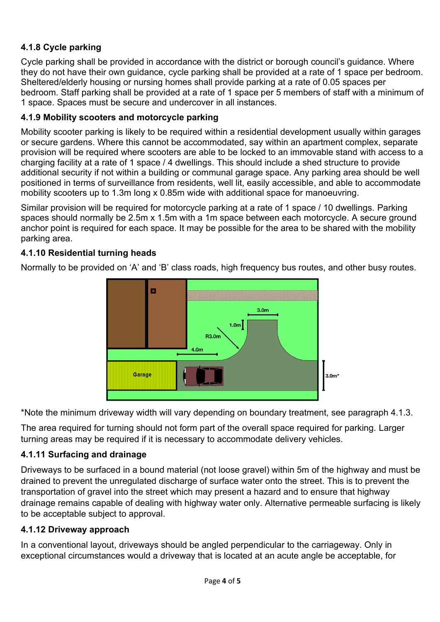## **4.1.8 Cycle parking**

Cycle parking shall be provided in accordance with the district or borough council's guidance. Where they do not have their own guidance, cycle parking shall be provided at a rate of 1 space per bedroom. Sheltered/elderly housing or nursing homes shall provide parking at a rate of 0.05 spaces per bedroom. Staff parking shall be provided at a rate of 1 space per 5 members of staff with a minimum of 1 space. Spaces must be secure and undercover in all instances.

#### **4.1.9 Mobility scooters and motorcycle parking**

Mobility scooter parking is likely to be required within a residential development usually within garages or secure gardens. Where this cannot be accommodated, say within an apartment complex, separate provision will be required where scooters are able to be locked to an immovable stand with access to a charging facility at a rate of 1 space / 4 dwellings. This should include a shed structure to provide additional security if not within a building or communal garage space. Any parking area should be well positioned in terms of surveillance from residents, well lit, easily accessible, and able to accommodate mobility scooters up to 1.3m long x 0.85m wide with additional space for manoeuvring.

Similar provision will be required for motorcycle parking at a rate of 1 space / 10 dwellings. Parking spaces should normally be 2.5m x 1.5m with a 1m space between each motorcycle. A secure ground anchor point is required for each space. It may be possible for the area to be shared with the mobility parking area.

### **4.1.10 Residential turning heads**

Normally to be provided on 'A' and 'B' class roads, high frequency bus routes, and other busy routes.



\*Note the minimum driveway width will vary depending on boundary treatment, see paragraph 4.1.3.

The area required for turning should not form part of the overall space required for parking. Larger turning areas may be required if it is necessary to accommodate delivery vehicles.

#### **4.1.11 Surfacing and drainage**

Driveways to be surfaced in a bound material (not loose gravel) within 5m of the highway and must be drained to prevent the unregulated discharge of surface water onto the street. This is to prevent the transportation of gravel into the street which may present a hazard and to ensure that highway drainage remains capable of dealing with highway water only. Alternative permeable surfacing is likely to be acceptable subject to approval.

#### **4.1.12 Driveway approach**

In a conventional layout, driveways should be angled perpendicular to the carriageway. Only in exceptional circumstances would a driveway that is located at an acute angle be acceptable, for